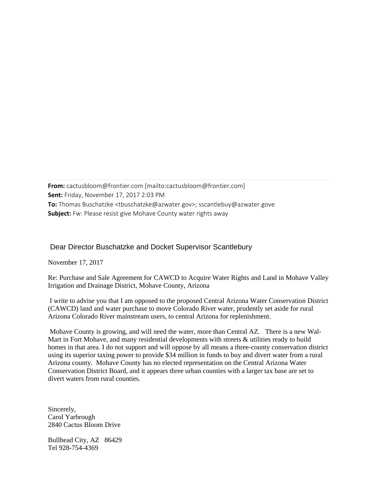**From:** cactusbloom@frontier.com [mailto:cactusbloom@frontier.com] **Sent:** Friday, November 17, 2017 2:03 PM **To:** Thomas Buschatzke <tbuschatzke@azwater.gov>; sscantlebuy@azwater.gove **Subject:** Fw: Please resist give Mohave County water rights away

## Dear Director Buschatzke and Docket Supervisor Scantlebury

November 17, 2017

Re: Purchase and Sale Agreement for CAWCD to Acquire Water Rights and Land in Mohave Valley Irrigation and Drainage District, Mohave County, Arizona

I write to advise you that I am opposed to the proposed Central Arizona Water Conservation District (CAWCD) land and water purchase to move Colorado River water, prudently set aside for rural Arizona Colorado River mainstream users, to central Arizona for replenishment.

Mohave County is growing, and will need the water, more than Central AZ. There is a new Wal-Mart in Fort Mohave, and many residential developments with streets & utilities ready to build homes in that area. I do not support and will oppose by all means a three-county conservation district using its superior taxing power to provide \$34 million in funds to buy and divert water from a rural Arizona county. Mohave County has no elected representation on the Central Arizona Water Conservation District Board, and it appears three urban counties with a larger tax base are set to divert waters from rural counties.

Sincerely, Carol Yarbrough 2840 Cactus Bloom Drive

Bullhead City, AZ 86429 Tel 928-754-4369